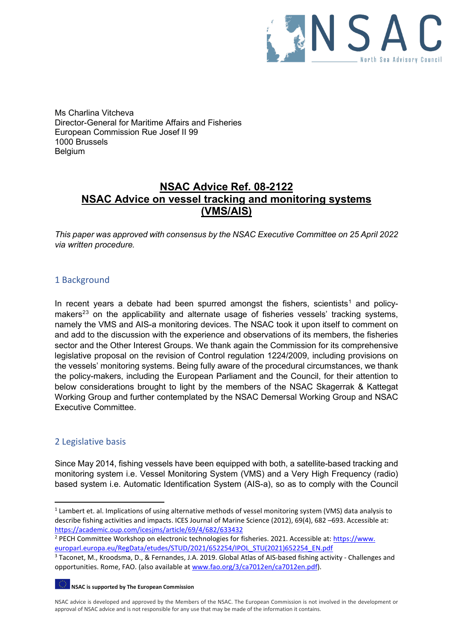

Ms Charlina Vitcheva Director-General for Maritime Affairs and Fisheries European Commission Rue Josef II 99 1000 Brussels Belgium

# **NSAC Advice Ref. 08-2122 NSAC Advice on vessel tracking and monitoring systems (VMS/AIS)**

*This paper was approved with consensus by the NSAC Executive Committee on 25 April 2022 via written procedure.*

# 1 Background

In recent years a debate had been spurred amongst the fishers, scientists<sup>[1](#page-0-0)</sup> and policy-makers<sup>[2](#page-0-1)[3](#page-0-2)</sup> on the applicability and alternate usage of fisheries vessels' tracking systems, namely the VMS and AIS-a monitoring devices. The NSAC took it upon itself to comment on and add to the discussion with the experience and observations of its members, the fisheries sector and the Other Interest Groups. We thank again the Commission for its comprehensive legislative proposal on the revision of Control regulation 1224/2009, including provisions on the vessels' monitoring systems. Being fully aware of the procedural circumstances, we thank the policy-makers, including the European Parliament and the Council, for their attention to below considerations brought to light by the members of the NSAC Skagerrak & Kattegat Working Group and further contemplated by the NSAC Demersal Working Group and NSAC Executive Committee.

# 2 Legislative basis

Since May 2014, fishing vessels have been equipped with both, a satellite-based tracking and monitoring system i.e. Vessel Monitoring System (VMS) and a Very High Frequency (radio) based system i.e. Automatic Identification System (AIS-a), so as to comply with the Council

**NSAC is supported by The European Commission**

<span id="page-0-0"></span><sup>&</sup>lt;sup>1</sup> Lambert et. al. Implications of using alternative methods of vessel monitoring system (VMS) data analysis to describe fishing activities and impacts. ICES Journal of Marine Science (2012), 69(4), 682 –693. Accessible at: https://academic.oup.com/icesjms/article/69/4/682/633432<br><sup>2</sup> PECH Committee Workshop on electronic technologies for fisheries. 2021. Accessible at: [https://www.](https://www.europarl.europa.eu/RegData/etudes/STUD/2021/652254/IPOL_STU(2021)652254_EN.pdf)

<span id="page-0-1"></span>

<span id="page-0-2"></span>europarl.europa.eu/RegData/etudes/STUD/2021/652254/IPOL\_STU(2021)652254\_EN.pdf<br><sup>3</sup> Taconet, M., Kroodsma, D., & Fernandes, J.A. 2019. Global Atlas of AIS-based fishing activity - Challenges and opportunities. Rome, FAO. (also available a[t www.fao.org/3/ca7012en/ca7012en.pdf\)](http://www.fao.org/3/ca7012en/ca7012en.pdf).

NSAC advice is developed and approved by the Members of the NSAC. The European Commission is not involved in the development or approval of NSAC advice and is not responsible for any use that may be made of the information it contains.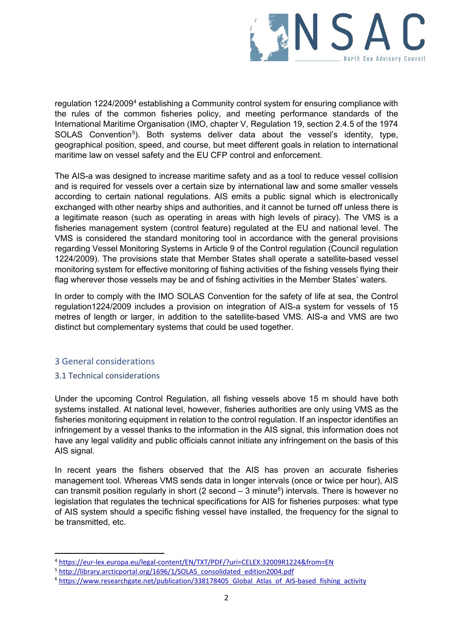

regulation 1224/2009[4](#page-1-0) establishing a Community control system for ensuring compliance with the rules of the common fisheries policy, and meeting performance standards of the International Maritime Organisation (IMO, chapter V, Regulation 19, section 2.4.5 of the 1974 SOLAS Convention<sup>[5](#page-1-1)</sup>). Both systems deliver data about the vessel's identity, type, geographical position, speed, and course, but meet different goals in relation to international maritime law on vessel safety and the EU CFP control and enforcement.

The AIS-a was designed to increase maritime safety and as a tool to reduce vessel collision and is required for vessels over a certain size by international law and some smaller vessels according to certain national regulations. AIS emits a public signal which is electronically exchanged with other nearby ships and authorities, and it cannot be turned off unless there is a legitimate reason (such as operating in areas with high levels of piracy). The VMS is a fisheries management system (control feature) regulated at the EU and national level. The VMS is considered the standard monitoring tool in accordance with the general provisions regarding Vessel Monitoring Systems in Article 9 of the Control regulation (Council regulation 1224/2009). The provisions state that Member States shall operate a satellite-based vessel monitoring system for effective monitoring of fishing activities of the fishing vessels flying their flag wherever those vessels may be and of fishing activities in the Member States' waters.

In order to comply with the IMO SOLAS Convention for the safety of life at sea, the Control regulation1224/2009 includes a provision on integration of AIS-a system for vessels of 15 metres of length or larger, in addition to the satellite-based VMS. AIS-a and VMS are two distinct but complementary systems that could be used together.

### 3 General considerations

### 3.1 Technical considerations

Under the upcoming Control Regulation, all fishing vessels above 15 m should have both systems installed. At national level, however, fisheries authorities are only using VMS as the fisheries monitoring equipment in relation to the control regulation. If an inspector identifies an infringement by a vessel thanks to the information in the AIS signal, this information does not have any legal validity and public officials cannot initiate any infringement on the basis of this AIS signal.

In recent years the fishers observed that the AIS has proven an accurate fisheries management tool. Whereas VMS sends data in longer intervals (once or twice per hour), AIS can transmit position regularly in short (2 second  $-$  3 minute<sup>[6](#page-1-2)</sup>) intervals. There is however no legislation that regulates the technical specifications for AIS for fisheries purposes: what type of AIS system should a specific fishing vessel have installed, the frequency for the signal to be transmitted, etc.

<span id="page-1-0"></span><sup>&</sup>lt;sup>4</sup> https://eur-lex.europa.eu/legal-content/EN/TXT/PDF/?uri=CELEX:32009R1224&from=EN<br><sup>5</sup> http://library.arcticportal.org/1696/1/SOLAS consolidated edition2004.pdf<br><sup>6</sup> https://www.researchgate.net/publication/338178405 Glob

<span id="page-1-1"></span>

<span id="page-1-2"></span>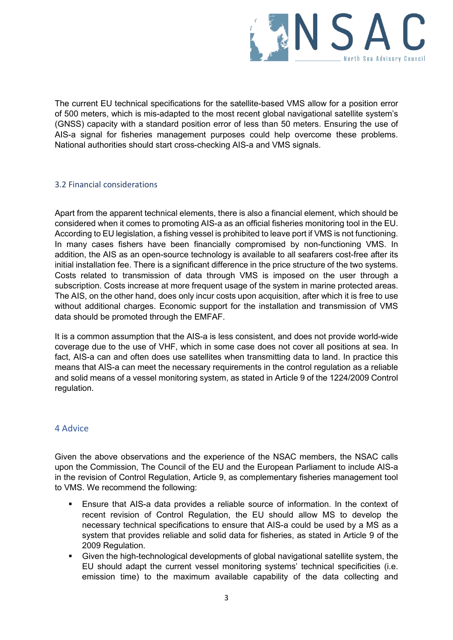

The current EU technical specifications for the satellite-based VMS allow for a position error of 500 meters, which is mis-adapted to the most recent global navigational satellite system's (GNSS) capacity with a standard position error of less than 50 meters. Ensuring the use of AIS-a signal for fisheries management purposes could help overcome these problems. National authorities should start cross-checking AIS-a and VMS signals.

### 3.2 Financial considerations

Apart from the apparent technical elements, there is also a financial element, which should be considered when it comes to promoting AIS-a as an official fisheries monitoring tool in the EU. According to EU legislation, a fishing vessel is prohibited to leave port if VMS is not functioning. In many cases fishers have been financially compromised by non-functioning VMS. In addition, the AIS as an open-source technology is available to all seafarers cost-free after its initial installation fee. There is a significant difference in the price structure of the two systems. Costs related to transmission of data through VMS is imposed on the user through a subscription. Costs increase at more frequent usage of the system in marine protected areas. The AIS, on the other hand, does only incur costs upon acquisition, after which it is free to use without additional charges. Economic support for the installation and transmission of VMS data should be promoted through the EMFAF.

It is a common assumption that the AIS-a is less consistent, and does not provide world-wide coverage due to the use of VHF, which in some case does not cover all positions at sea. In fact, AIS-a can and often does use satellites when transmitting data to land. In practice this means that AIS-a can meet the necessary requirements in the control regulation as a reliable and solid means of a vessel monitoring system, as stated in Article 9 of the 1224/2009 Control regulation.

# 4 Advice

Given the above observations and the experience of the NSAC members, the NSAC calls upon the Commission, The Council of the EU and the European Parliament to include AIS-a in the revision of Control Regulation, Article 9, as complementary fisheries management tool to VMS. We recommend the following:

- Ensure that AIS-a data provides a reliable source of information. In the context of recent revision of Control Regulation, the EU should allow MS to develop the necessary technical specifications to ensure that AIS-a could be used by a MS as a system that provides reliable and solid data for fisheries, as stated in Article 9 of the 2009 Regulation.
- Given the high-technological developments of global navigational satellite system, the EU should adapt the current vessel monitoring systems' technical specificities (i.e. emission time) to the maximum available capability of the data collecting and